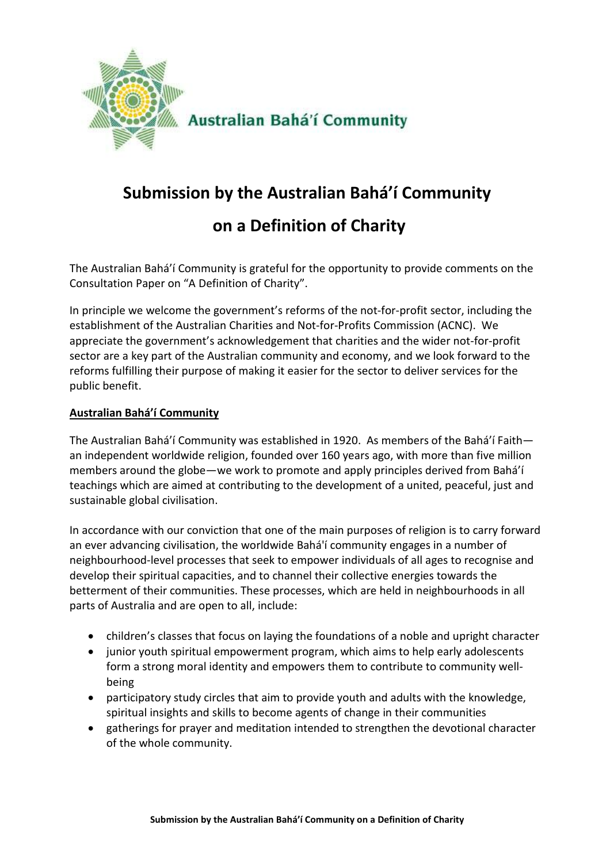

# **Submission by the Australian Bahá'í Community on a Definition of Charity**

The Australian Bahá'í Community is grateful for the opportunity to provide comments on the Consultation Paper on "A Definition of Charity".

In principle we welcome the government's reforms of the not-for-profit sector, including the establishment of the Australian Charities and Not-for-Profits Commission (ACNC). We appreciate the government's acknowledgement that charities and the wider not-for-profit sector are a key part of the Australian community and economy, and we look forward to the reforms fulfilling their purpose of making it easier for the sector to deliver services for the public benefit.

#### **Australian Bahá'í Community**

The Australian Bahá'í Community was established in 1920. As members of the Bahá'í Faith an independent worldwide religion, founded over 160 years ago, with more than five million members around the globe—we work to promote and apply principles derived from Bahá'í teachings which are aimed at contributing to the development of a united, peaceful, just and sustainable global civilisation.

In accordance with our conviction that one of the main purposes of religion is to carry forward an ever advancing civilisation, the worldwide Bahá'í community engages in a number of neighbourhood-level processes that seek to empower individuals of all ages to recognise and develop their spiritual capacities, and to channel their collective energies towards the betterment of their communities. These processes, which are held in neighbourhoods in all parts of Australia and are open to all, include:

- children's classes that focus on laying the foundations of a noble and upright character
- junior youth spiritual empowerment program, which aims to help early adolescents form a strong moral identity and empowers them to contribute to community wellbeing
- participatory study circles that aim to provide youth and adults with the knowledge, spiritual insights and skills to become agents of change in their communities
- gatherings for prayer and meditation intended to strengthen the devotional character of the whole community.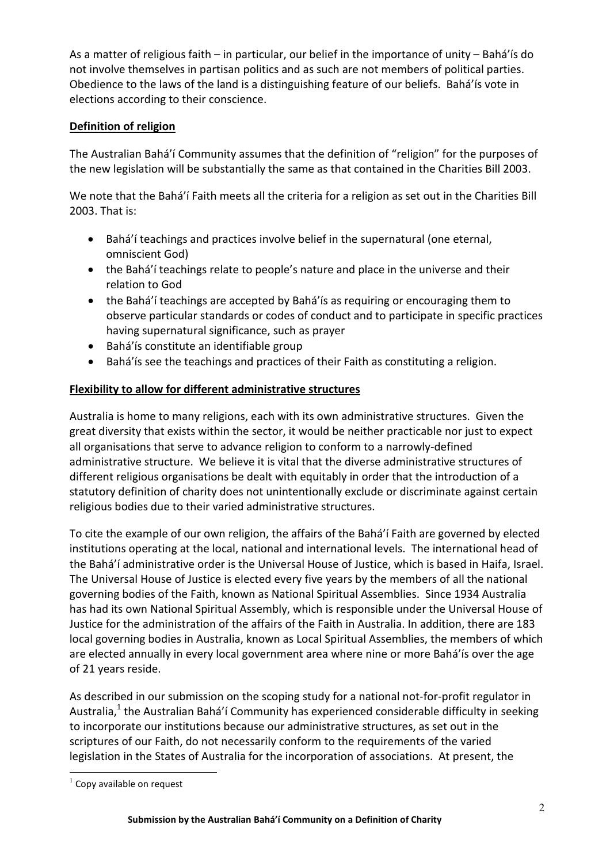As a matter of religious faith – in particular, our belief in the importance of unity – Bahá'ís do not involve themselves in partisan politics and as such are not members of political parties. Obedience to the laws of the land is a distinguishing feature of our beliefs. Bahá'ís vote in elections according to their conscience.

## **Definition of religion**

The Australian Bahá'í Community assumes that the definition of "religion" for the purposes of the new legislation will be substantially the same as that contained in the Charities Bill 2003.

We note that the Bahá'í Faith meets all the criteria for a religion as set out in the Charities Bill 2003. That is:

- Bahá'í teachings and practices involve belief in the supernatural (one eternal, omniscient God)
- the Bahá'í teachings relate to people's nature and place in the universe and their relation to God
- the Bahá'í teachings are accepted by Bahá'ís as requiring or encouraging them to observe particular standards or codes of conduct and to participate in specific practices having supernatural significance, such as prayer
- Bahá'ís constitute an identifiable group
- Bahá'ís see the teachings and practices of their Faith as constituting a religion.

### **Flexibility to allow for different administrative structures**

Australia is home to many religions, each with its own administrative structures. Given the great diversity that exists within the sector, it would be neither practicable nor just to expect all organisations that serve to advance religion to conform to a narrowly-defined administrative structure. We believe it is vital that the diverse administrative structures of different religious organisations be dealt with equitably in order that the introduction of a statutory definition of charity does not unintentionally exclude or discriminate against certain religious bodies due to their varied administrative structures.

To cite the example of our own religion, the affairs of the Bahá'í Faith are governed by elected institutions operating at the local, national and international levels. The international head of the Bahá'í administrative order is the Universal House of Justice, which is based in Haifa, Israel. The Universal House of Justice is elected every five years by the members of all the national governing bodies of the Faith, known as National Spiritual Assemblies. Since 1934 Australia has had its own National Spiritual Assembly, which is responsible under the Universal House of Justice for the administration of the affairs of the Faith in Australia. In addition, there are 183 local governing bodies in Australia, known as Local Spiritual Assemblies, the members of which are elected annually in every local government area where nine or more Bahá'ís over the age of 21 years reside.

As described in our submission on the scoping study for a national not-for-profit regulator in Australia,<sup>1</sup> the Australian Bahá'í Community has experienced considerable difficulty in seeking to incorporate our institutions because our administrative structures, as set out in the scriptures of our Faith, do not necessarily conform to the requirements of the varied legislation in the States of Australia for the incorporation of associations. At present, the

 $1$  Copy available on request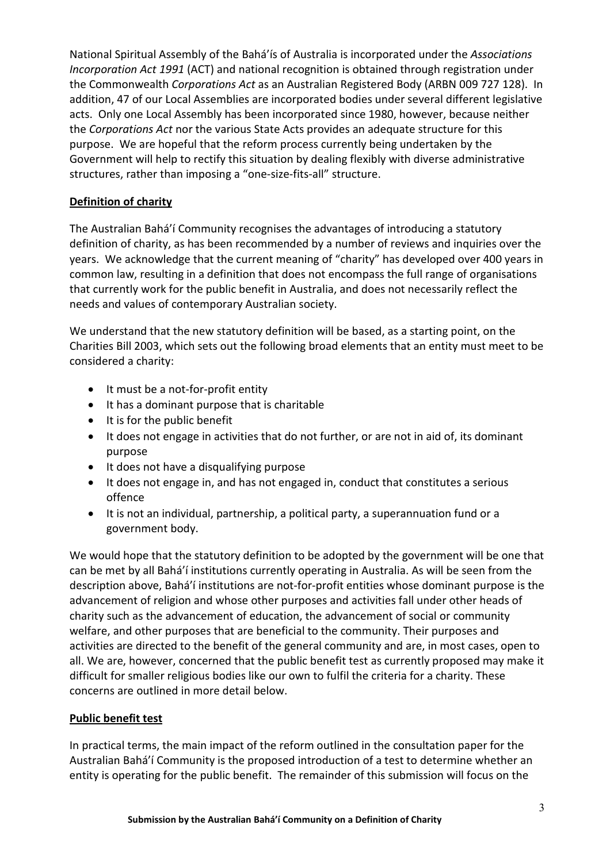National Spiritual Assembly of the Bahá'ís of Australia is incorporated under the Associations Incorporation Act 1991 (ACT) and national recognition is obtained through registration under the Commonwealth Corporations Act as an Australian Registered Body (ARBN 009 727 128). In addition, 47 of our Local Assemblies are incorporated bodies under several different legislative acts. Only one Local Assembly has been incorporated since 1980, however, because neither the Corporations Act nor the various State Acts provides an adequate structure for this purpose. We are hopeful that the reform process currently being undertaken by the Government will help to rectify this situation by dealing flexibly with diverse administrative structures, rather than imposing a "one-size-fits-all" structure.

#### **Definition of charity**

The Australian Bahá'í Community recognises the advantages of introducing a statutory definition of charity, as has been recommended by a number of reviews and inquiries over the years. We acknowledge that the current meaning of "charity" has developed over 400 years in common law, resulting in a definition that does not encompass the full range of organisations that currently work for the public benefit in Australia, and does not necessarily reflect the needs and values of contemporary Australian society.

We understand that the new statutory definition will be based, as a starting point, on the Charities Bill 2003, which sets out the following broad elements that an entity must meet to be considered a charity:

- It must be a not-for-profit entity
- It has a dominant purpose that is charitable
- It is for the public benefit
- It does not engage in activities that do not further, or are not in aid of, its dominant purpose
- It does not have a disqualifying purpose
- It does not engage in, and has not engaged in, conduct that constitutes a serious offence
- It is not an individual, partnership, a political party, a superannuation fund or a government body.

We would hope that the statutory definition to be adopted by the government will be one that can be met by all Bahá'í institutions currently operating in Australia. As will be seen from the description above, Bahá'í institutions are not-for-profit entities whose dominant purpose is the advancement of religion and whose other purposes and activities fall under other heads of charity such as the advancement of education, the advancement of social or community welfare, and other purposes that are beneficial to the community. Their purposes and activities are directed to the benefit of the general community and are, in most cases, open to all. We are, however, concerned that the public benefit test as currently proposed may make it difficult for smaller religious bodies like our own to fulfil the criteria for a charity. These concerns are outlined in more detail below.

## **Public benefit test**

In practical terms, the main impact of the reform outlined in the consultation paper for the Australian Bahá'í Community is the proposed introduction of a test to determine whether an entity is operating for the public benefit. The remainder of this submission will focus on the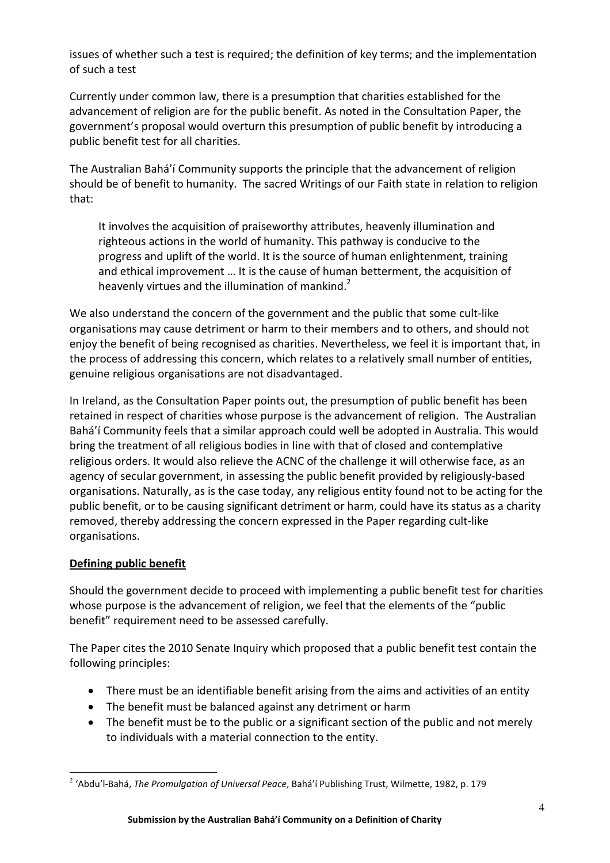issues of whether such a test is required; the definition of key terms; and the implementation of such a test

Currently under common law, there is a presumption that charities established for the advancement of religion are for the public benefit. As noted in the Consultation Paper, the government's proposal would overturn this presumption of public benefit by introducing a public benefit test for all charities.

The Australian Bahá'í Community supports the principle that the advancement of religion should be of benefit to humanity. The sacred Writings of our Faith state in relation to religion that:

It involves the acquisition of praiseworthy attributes, heavenly illumination and righteous actions in the world of humanity. This pathway is conducive to the progress and uplift of the world. It is the source of human enlightenment, training and ethical improvement … It is the cause of human betterment, the acquisition of heavenly virtues and the illumination of mankind.<sup>2</sup>

We also understand the concern of the government and the public that some cult-like organisations may cause detriment or harm to their members and to others, and should not enjoy the benefit of being recognised as charities. Nevertheless, we feel it is important that, in the process of addressing this concern, which relates to a relatively small number of entities, genuine religious organisations are not disadvantaged.

In Ireland, as the Consultation Paper points out, the presumption of public benefit has been retained in respect of charities whose purpose is the advancement of religion. The Australian Bahá'í Community feels that a similar approach could well be adopted in Australia. This would bring the treatment of all religious bodies in line with that of closed and contemplative religious orders. It would also relieve the ACNC of the challenge it will otherwise face, as an agency of secular government, in assessing the public benefit provided by religiously-based organisations. Naturally, as is the case today, any religious entity found not to be acting for the public benefit, or to be causing significant detriment or harm, could have its status as a charity removed, thereby addressing the concern expressed in the Paper regarding cult-like organisations.

## **Defining public benefit**

Should the government decide to proceed with implementing a public benefit test for charities whose purpose is the advancement of religion, we feel that the elements of the "public benefit" requirement need to be assessed carefully.

The Paper cites the 2010 Senate Inquiry which proposed that a public benefit test contain the following principles:

- There must be an identifiable benefit arising from the aims and activities of an entity
- The benefit must be balanced against any detriment or harm
- The benefit must be to the public or a significant section of the public and not merely to individuals with a material connection to the entity.

 $^2$  'Abdu'l-Bahá, *The Promulgation of Universal Peace*, Bahá'í Publishing Trust, Wilmette, 1982, p. 179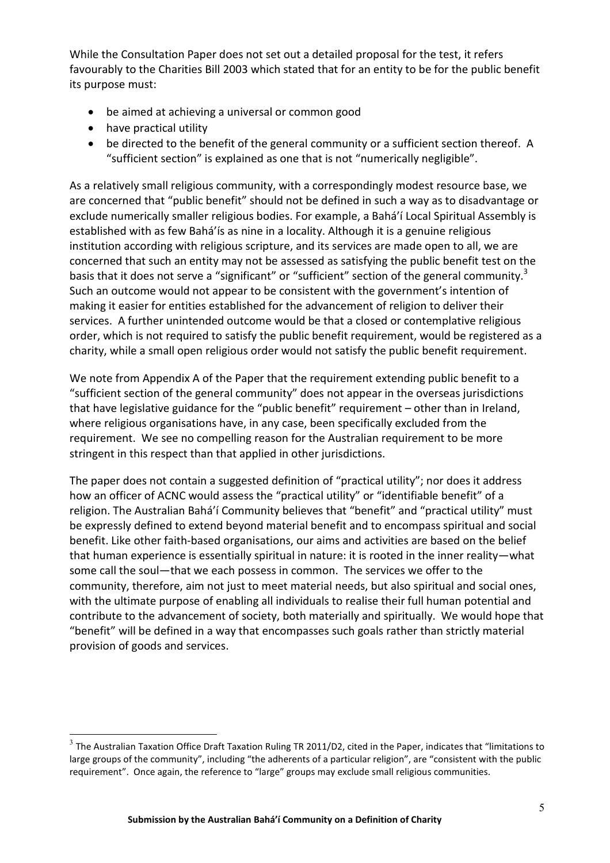While the Consultation Paper does not set out a detailed proposal for the test, it refers favourably to the Charities Bill 2003 which stated that for an entity to be for the public benefit its purpose must:

- be aimed at achieving a universal or common good
- have practical utility
- be directed to the benefit of the general community or a sufficient section thereof. A "sufficient section" is explained as one that is not "numerically negligible".

As a relatively small religious community, with a correspondingly modest resource base, we are concerned that "public benefit" should not be defined in such a way as to disadvantage or exclude numerically smaller religious bodies. For example, a Bahá'í Local Spiritual Assembly is established with as few Bahá'ís as nine in a locality. Although it is a genuine religious institution according with religious scripture, and its services are made open to all, we are concerned that such an entity may not be assessed as satisfying the public benefit test on the basis that it does not serve a "significant" or "sufficient" section of the general community.<sup>3</sup> Such an outcome would not appear to be consistent with the government's intention of making it easier for entities established for the advancement of religion to deliver their services. A further unintended outcome would be that a closed or contemplative religious order, which is not required to satisfy the public benefit requirement, would be registered as a charity, while a small open religious order would not satisfy the public benefit requirement.

We note from Appendix A of the Paper that the requirement extending public benefit to a "sufficient section of the general community" does not appear in the overseas jurisdictions that have legislative guidance for the "public benefit" requirement – other than in Ireland, where religious organisations have, in any case, been specifically excluded from the requirement. We see no compelling reason for the Australian requirement to be more stringent in this respect than that applied in other jurisdictions.

The paper does not contain a suggested definition of "practical utility"; nor does it address how an officer of ACNC would assess the "practical utility" or "identifiable benefit" of a religion. The Australian Bahá'í Community believes that "benefit" and "practical utility" must be expressly defined to extend beyond material benefit and to encompass spiritual and social benefit. Like other faith-based organisations, our aims and activities are based on the belief that human experience is essentially spiritual in nature: it is rooted in the inner reality—what some call the soul—that we each possess in common. The services we offer to the community, therefore, aim not just to meet material needs, but also spiritual and social ones, with the ultimate purpose of enabling all individuals to realise their full human potential and contribute to the advancement of society, both materially and spiritually. We would hope that "benefit" will be defined in a way that encompasses such goals rather than strictly material provision of goods and services.

 $3$  The Australian Taxation Office Draft Taxation Ruling TR 2011/D2, cited in the Paper, indicates that "limitations to large groups of the community", including "the adherents of a particular religion", are "consistent with the public requirement". Once again, the reference to "large" groups may exclude small religious communities.